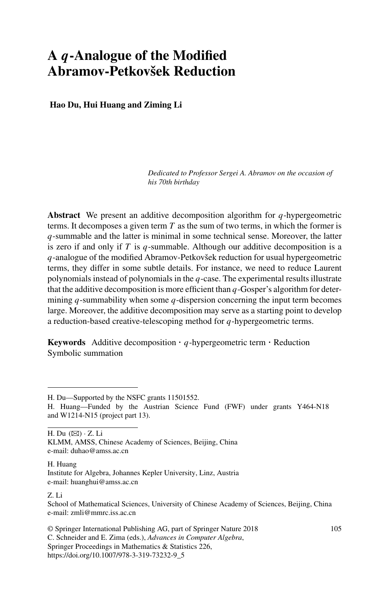# **A** *q***-Analogue of the Modified Abramov-Petkovšek Reduction**

**Hao Du, Hui Huang and Ziming Li**

*Dedicated to Professor Sergei A. Abramov on the occasion of his 70th birthday*

**Abstract** We present an additive decomposition algorithm for *q*-hypergeometric terms. It decomposes a given term *T* as the sum of two terms, in which the former is *q*-summable and the latter is minimal in some technical sense. Moreover, the latter is zero if and only if  $T$  is  $q$ -summable. Although our additive decomposition is a *q*-analogue of the modified Abramov-Petkovšek reduction for usual hypergeometric terms, they differ in some subtle details. For instance, we need to reduce Laurent polynomials instead of polynomials in the *q*-case. The experimental results illustrate that the additive decomposition is more efficient than *q*-Gosper's algorithm for determining *q*-summability when some *q*-dispersion concerning the input term becomes large. Moreover, the additive decomposition may serve as a starting point to develop a reduction-based creative-telescoping method for *q*-hypergeometric terms.

**Keywords** Additive decomposition  $\cdot$  *q*-hypergeometric term  $\cdot$  Reduction Symbolic summation

H. Du  $(\boxtimes) \cdot Z$ . Li

KLMM, AMSS, Chinese Academy of Sciences, Beijing, China e-mail: duhao@amss.ac.cn

#### H. Huang Institute for Algebra, Johannes Kepler University, Linz, Austria e-mail: huanghui@amss.ac.cn

#### Z. Li

© Springer International Publishing AG, part of Springer Nature 2018 C. Schneider and E. Zima (eds.), *Advances in Computer Algebra*, Springer Proceedings in Mathematics & Statistics 226, https://doi.org/10.1007/978-3-319-73232-9\_5

H. Du—Supported by the NSFC grants 11501552.

H. Huang—Funded by the Austrian Science Fund (FWF) under grants Y464-N18 and W1214-N15 (project part 13).

School of Mathematical Sciences, University of Chinese Academy of Sciences, Beijing, China e-mail: zmli@mmrc.iss.ac.cn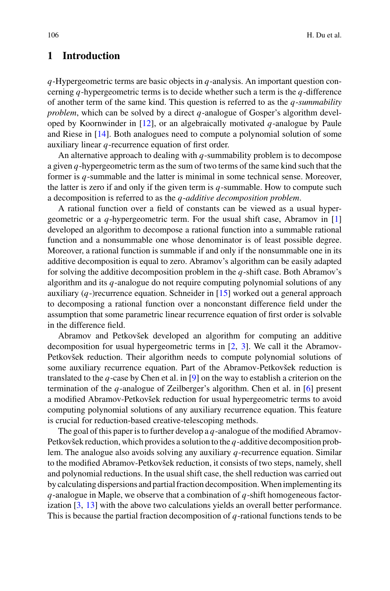## **1 Introduction**

*q*-Hypergeometric terms are basic objects in *q*-analysis. An important question concerning *q*-hypergeometric terms is to decide whether such a term is the *q*-difference of another term of the same kind. This question is referred to as the *q*-*summability problem*, which can be solved by a direct *q*-analogue of Gosper's algorithm developed by Koornwinder in [\[12](#page-24-0)], or an algebraically motivated *q*-analogue by Paule and Riese in [\[14\]](#page-24-1). Both analogues need to compute a polynomial solution of some auxiliary linear *q*-recurrence equation of first order.

An alternative approach to dealing with *q*-summability problem is to decompose a given *q*-hypergeometric term as the sum of two terms of the same kind such that the former is *q*-summable and the latter is minimal in some technical sense. Moreover, the latter is zero if and only if the given term is *q*-summable. How to compute such a decomposition is referred to as the *q*-*additive decomposition problem*.

A rational function over a field of constants can be viewed as a usual hypergeometric or a *q*-hypergeometric term. For the usual shift case, Abramov in [\[1\]](#page-23-0) developed an algorithm to decompose a rational function into a summable rational function and a nonsummable one whose denominator is of least possible degree. Moreover, a rational function is summable if and only if the nonsummable one in its additive decomposition is equal to zero. Abramov's algorithm can be easily adapted for solving the additive decomposition problem in the *q*-shift case. Both Abramov's algorithm and its *q*-analogue do not require computing polynomial solutions of any auxiliary  $(q)$ -)recurrence equation. Schneider in [\[15\]](#page-24-2) worked out a general approach to decomposing a rational function over a nonconstant difference field under the assumption that some parametric linear recurrence equation of first order is solvable in the difference field.

Abramov and Petkovšek developed an algorithm for computing an additive decomposition for usual hypergeometric terms in [\[2](#page-23-1), [3\]](#page-23-2). We call it the Abramov-Petkovšek reduction. Their algorithm needs to compute polynomial solutions of some auxiliary recurrence equation. Part of the Abramov-Petkovšek reduction is translated to the *q*-case by Chen et al. in [\[9](#page-24-3)] on the way to establish a criterion on the termination of the *q*-analogue of Zeilberger's algorithm. Chen et al. in [\[6](#page-23-3)] present a modified Abramov-Petkovšek reduction for usual hypergeometric terms to avoid computing polynomial solutions of any auxiliary recurrence equation. This feature is crucial for reduction-based creative-telescoping methods.

The goal of this paper is to further develop a *q*-analogue of the modified Abramov-Petkovšek reduction, which provides a solution to the *q*-additive decomposition problem. The analogue also avoids solving any auxiliary *q*-recurrence equation. Similar to the modified Abramov-Petkovšek reduction, it consists of two steps, namely, shell and polynomial reductions. In the usual shift case, the shell reduction was carried out by calculating dispersions and partial fraction decomposition.When implementing its *q*-analogue in Maple, we observe that a combination of *q*-shift homogeneous factorization [\[3](#page-23-2), [13\]](#page-24-4) with the above two calculations yields an overall better performance. This is because the partial fraction decomposition of *q*-rational functions tends to be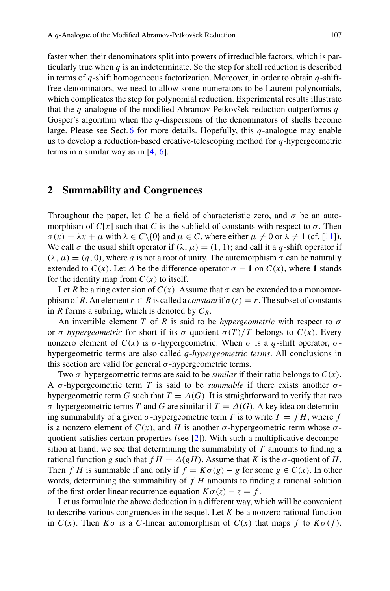faster when their denominators split into powers of irreducible factors, which is particularly true when *q* is an indeterminate. So the step for shell reduction is described in terms of *q*-shift homogeneous factorization. Moreover, in order to obtain *q*-shiftfree denominators, we need to allow some numerators to be Laurent polynomials, which complicates the step for polynomial reduction. Experimental results illustrate that the *q*-analogue of the modified Abramov-Petkovšek reduction outperforms *q*-Gosper's algorithm when the *q*-dispersions of the denominators of shells become large. Please see Sect. [6](#page-20-0) for more details. Hopefully, this *q*-analogue may enable us to develop a reduction-based creative-telescoping method for *q*-hypergeometric terms in a similar way as in [\[4,](#page-23-4) [6\]](#page-23-3).

#### **2 Summability and Congruences**

Throughout the paper, let *C* be a field of characteristic zero, and  $\sigma$  be an automorphism of  $C[x]$  such that C is the subfield of constants with respect to  $\sigma$ . Then  $\sigma(x) = \lambda x + \mu$  with  $\lambda \in C \setminus \{0\}$  and  $\mu \in C$ , where either  $\mu \neq 0$  or  $\lambda \neq 1$  (cf. [\[11](#page-24-5)]). We call  $\sigma$  the usual shift operator if  $(\lambda, \mu) = (1, 1)$ ; and call it a *q*-shift operator if  $(\lambda, \mu) = (q, 0)$ , where q is not a root of unity. The automorphism  $\sigma$  can be naturally extended to  $C(x)$ . Let  $\Delta$  be the difference operator  $\sigma - 1$  on  $C(x)$ , where 1 stands for the identity map from  $C(x)$  to itself.

Let *R* be a ring extension of  $C(x)$ . Assume that  $\sigma$  can be extended to a monomorphism of *R*. An element  $r \in R$  is called a *constant* if  $\sigma(r) = r$ . The subset of constants in *R* forms a subring, which is denoted by *CR*.

An invertible element *T* of *R* is said to be *hypergeometric* with respect to  $\sigma$ or  $\sigma$ -*hypergeometric* for short if its  $\sigma$ -quotient  $\sigma(T)/T$  belongs to  $C(x)$ . Every nonzero element of *C*(*x*) is *σ*-hypergeometric. When *σ* is a *q*-shift operator, *σ*hypergeometric terms are also called *q*-*hypergeometric terms*. All conclusions in this section are valid for general  $\sigma$ -hypergeometric terms.

Two  $\sigma$ -hypergeometric terms are said to be *similar* if their ratio belongs to  $C(x)$ . A σ-hypergeometric term *T* is said to be *summable* if there exists another σhypergeometric term *G* such that  $T = \Delta(G)$ . It is straightforward to verify that two σ-hypergeometric terms *T* and *G* are similar if *T* = Δ(*G*). A key idea on determining summability of a given  $\sigma$ -hypergeometric term *T* is to write  $T = fH$ , where *f* is a nonzero element of  $C(x)$ , and *H* is another  $\sigma$ -hypergeometric term whose  $\sigma$ quotient satisfies certain properties (see [\[2](#page-23-1)]). With such a multiplicative decomposition at hand, we see that determining the summability of *T* amounts to finding a rational function *g* such that  $fH = \Delta(gH)$ . Assume that *K* is the  $\sigma$ -quotient of *H*. Then *f H* is summable if and only if  $f = K\sigma(g) - g$  for some  $g \in C(x)$ . In other words, determining the summability of *f H* amounts to finding a rational solution of the first-order linear recurrence equation  $K\sigma(z) - z = f$ .

Let us formulate the above deduction in a different way, which will be convenient to describe various congruences in the sequel. Let  $K$  be a nonzero rational function in  $C(x)$ . Then  $K\sigma$  is a *C*-linear automorphism of  $C(x)$  that maps f to  $K\sigma(f)$ .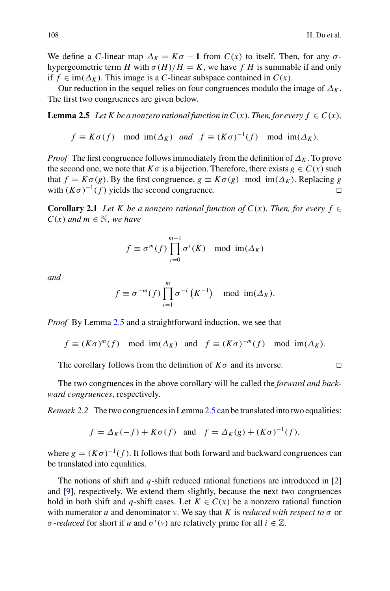We define a *C*-linear map  $\Delta_K = K\sigma - 1$  from  $C(x)$  to itself. Then, for any  $\sigma$ hypergeometric term *H* with  $\sigma(H)/H = K$ , we have *f H* is summable if and only if  $f \in \text{im}(\Delta_K)$ . This image is a *C*-linear subspace contained in  $C(x)$ .

Our reduction in the sequel relies on four congruences modulo the image of  $\Delta_K$ . The first two congruences are given below.

**Lemma 2.5** *Let K be a nonzero rational function in C(x). Then, for every*  $f \in C(x)$ *,* 

<span id="page-3-0"></span>
$$
f \equiv K\sigma(f) \mod \text{im}(\Delta_K) \text{ and } f \equiv (K\sigma)^{-1}(f) \mod \text{im}(\Delta_K).
$$

*Proof* The first congruence follows immediately from the definition of  $\Delta_K$ . To prove the second one, we note that  $K\sigma$  is a bijection. Therefore, there exists  $g \in C(x)$  such that  $f = K\sigma(g)$ . By the first congruence,  $g \equiv K\sigma(g) \mod \text{im}(\Delta_K)$ . Replacing *g* with  $(K\sigma)^{-1}(f)$  vields the second congruence. with  $(K\sigma)^{-1}(f)$  yields the second congruence.

<span id="page-3-2"></span>**Corollary 2.1** *Let K be a nonzero rational function of C(x). Then, for every f*  $\in$  $C(x)$  *and*  $m \in \mathbb{N}$ , *we have* 

$$
f \equiv \sigma^m(f) \prod_{i=0}^{m-1} \sigma^i(K) \mod \mathrm{im}(\Delta_K)
$$

*and*

$$
f \equiv \sigma^{-m}(f) \prod_{i=1}^{m} \sigma^{-i} (K^{-1}) \mod \mathrm{im}(\Delta_K).
$$

*Proof* By Lemma [2.5](#page-3-0) and a straightforward induction, we see that

 $f \equiv (K\sigma)^m(f) \mod \text{im}(\Delta_K)$  and  $f \equiv (K\sigma)^{-m}(f) \mod \text{im}(\Delta_K)$ .

The corollary follows from the definition of *K*σ and its inverse.

The two congruences in the above corollary will be called the *forward and backward congruences*, respectively.

*Remark 2.2* The two congruences in Lemma [2.5](#page-3-0) can be translated into two equalities:

<span id="page-3-1"></span>
$$
f = \Delta_K(-f) + K\sigma(f)
$$
 and  $f = \Delta_K(g) + (K\sigma)^{-1}(f)$ ,

where  $g = (K\sigma)^{-1}(f)$ . It follows that both forward and backward congruences can be translated into equalities.

The notions of shift and *q*-shift reduced rational functions are introduced in [\[2\]](#page-23-1) and [\[9\]](#page-24-3), respectively. We extend them slightly, because the next two congruences hold in both shift and *q*-shift cases. Let  $K \in C(x)$  be a nonzero rational function with numerator *u* and denominator *v*. We say that *K* is *reduced with respect to*  $\sigma$  or *σ*-*reduced* for short if *u* and  $\sigma^i(v)$  are relatively prime for all  $i \in \mathbb{Z}$ .

<span id="page-3-3"></span>
$$
\Box
$$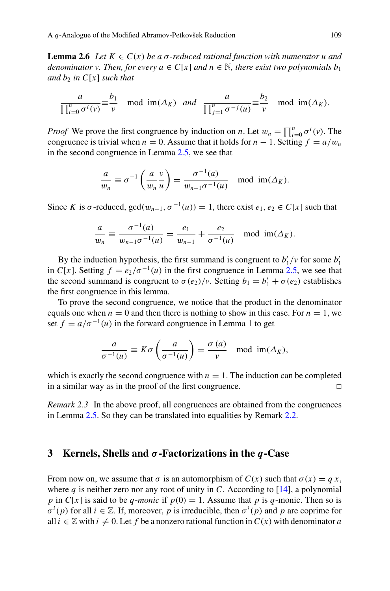**Lemma 2.6** *Let*  $K \in C(x)$  *be a*  $\sigma$ -reduced rational function with numerator u and *denominator v. Then, for every*  $a \in C[x]$  *and*  $n \in \mathbb{N}$ *, there exist two polynomials b<sub>1</sub> and b<sub>2</sub> in*  $C[x]$  *such that* 

$$
\frac{a}{\prod_{i=0}^n \sigma^i(v)} \equiv \frac{b_1}{v} \mod \text{im}(\Delta_K) \text{ and } \frac{a}{\prod_{j=1}^n \sigma^{-j}(u)} \equiv \frac{b_2}{v} \mod \text{im}(\Delta_K).
$$

*Proof* We prove the first congruence by induction on *n*. Let  $w_n = \prod_{i=0}^n \sigma^i(v)$ . The congruence is trivial when  $n = 0$ . Assume that it holds for  $n - 1$ . Setting  $f = a/w_n$ in the second congruence in Lemma [2.5,](#page-3-0) we see that

$$
\frac{a}{w_n} \equiv \sigma^{-1}\left(\frac{a}{w_n}\frac{v}{u}\right) = \frac{\sigma^{-1}(a)}{w_{n-1}\sigma^{-1}(u)} \mod \text{im}(\Delta_K).
$$

Since *K* is  $\sigma$ -reduced,  $gcd(w_{n-1}, \sigma^{-1}(u)) = 1$ , there exist  $e_1, e_2 \in C[x]$  such that

$$
\frac{a}{w_n} \equiv \frac{\sigma^{-1}(a)}{w_{n-1}\sigma^{-1}(u)} = \frac{e_1}{w_{n-1}} + \frac{e_2}{\sigma^{-1}(u)} \mod \mathfrak{im}(\Delta_K).
$$

By the induction hypothesis, the first summand is congruent to  $b'_1/v$  for some  $b'_1$ in *C*[*x*]. Setting  $f = e_2/\sigma^{-1}(u)$  in the first congruence in Lemma [2.5,](#page-3-0) we see that the second summand is congruent to  $\sigma(e_2)/v$ . Setting  $b_1 = b'_1 + \sigma(e_2)$  establishes the first congruence in this lemma.

To prove the second congruence, we notice that the product in the denominator equals one when  $n = 0$  and then there is nothing to show in this case. For  $n = 1$ , we set  $f = a/\sigma^{-1}(u)$  in the forward congruence in Lemma 1 to get

$$
\frac{a}{\sigma^{-1}(u)} \equiv K\sigma \left(\frac{a}{\sigma^{-1}(u)}\right) = \frac{\sigma(a)}{v} \mod \operatorname{im}(\Delta_K),
$$

which is exactly the second congruence with  $n = 1$ . The induction can be completed<br>in a similar way as in the proof of the first congruence. in a similar way as in the proof of the first congruence.

*Remark 2.3* In the above proof, all congruences are obtained from the congruences in Lemma [2.5.](#page-3-0) So they can be translated into equalities by Remark [2.2.](#page-3-1)

#### **3 Kernels, Shells and** *σ***-Factorizations in the** *q***-Case**

From now on, we assume that  $\sigma$  is an automorphism of  $C(x)$  such that  $\sigma(x) = qx$ , where  $q$  is neither zero nor any root of unity in  $C$ . According to [\[14](#page-24-1)], a polynomial *p* in *C*[*x*] is said to be *q*-*monic* if  $p(0) = 1$ . Assume that *p* is *q*-monic. Then so is  $\sigma^{i}(p)$  for all  $i \in \mathbb{Z}$ . If, moreover, *p* is irreducible, then  $\sigma^{i}(p)$  and *p* are coprime for all  $i \in \mathbb{Z}$  with  $i \neq 0$ . Let f be a nonzero rational function in  $C(x)$  with denominator a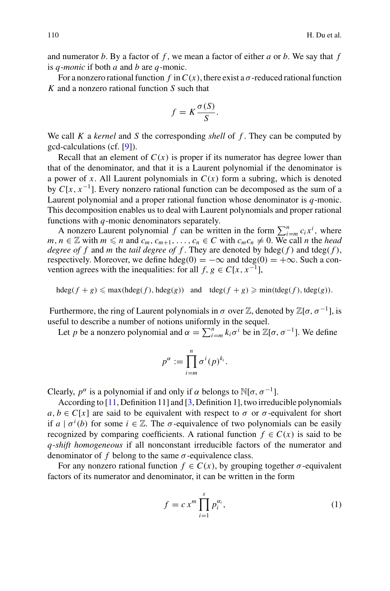and numerator *b*. By a factor of *f* , we mean a factor of either *a* or *b*. We say that *f* is *q*-*monic* if both *a* and *b* are *q*-monic.

For a nonzero rational function  $f$  in  $C(x)$ , there exist a  $\sigma$ -reduced rational function *K* and a nonzero rational function *S* such that

$$
f = K \frac{\sigma(S)}{S}.
$$

We call *K* a *kernel* and *S* the corresponding *shell* of *f* . They can be computed by gcd-calculations (cf. [\[9\]](#page-24-3)).

Recall that an element of  $C(x)$  is proper if its numerator has degree lower than that of the denominator, and that it is a Laurent polynomial if the denominator is a power of *x*. All Laurent polynomials in  $C(x)$  form a subring, which is denoted by  $C[x, x^{-1}]$ . Every nonzero rational function can be decomposed as the sum of a Laurent polynomial and a proper rational function whose denominator is *q*-monic. This decomposition enables us to deal with Laurent polynomials and proper rational functions with *q*-monic denominators separately.

A nonzero Laurent polynomial *f* can be written in the form  $\sum_{i=m}^{n} c_i x^i$ , where  $m, n \in \mathbb{Z}$  with  $m \le n$  and  $c_m, c_{m+1}, \ldots, c_n \in C$  with  $c_m c_n \ne 0$ . We call *n* the *head degree of f* and *m* the *tail degree of f*. They are denoted by hdeg( $f$ ) and tdeg( $f$ ), respectively. Moreover, we define hdeg(0) =  $-\infty$  and tdeg(0) =  $+\infty$ . Such a convention agrees with the inequalities: for all *f*,  $g \in C[x, x^{-1}]$ ,

 $hdeg(f + g) \leq max(hdeg(f), hdeg(g))$  and  $tdeg(f + g) \geq min(tdeg(f), tdeg(g)).$ 

Furthermore, the ring of Laurent polynomials in  $\sigma$  over  $\mathbb{Z}$ , denoted by  $\mathbb{Z}[\sigma, \sigma^{-1}]$ , is useful to describe a number of notions uniformly in the sequel.

Let *p* be a nonzero polynomial and  $\alpha = \sum_{i=m}^{n} k_i \sigma^i$  be in  $\mathbb{Z}[\sigma, \sigma^{-1}]$ . We define

$$
p^{\alpha} := \prod_{i=m}^{n} \sigma^{i}(p)^{k_{i}}.
$$

Clearly,  $p^{\alpha}$  is a polynomial if and only if  $\alpha$  belongs to  $\mathbb{N}[\sigma, \sigma^{-1}]$ .

According to [\[11,](#page-24-5) Definition 11] and [\[3,](#page-23-2) Definition 1], two irreducible polynomials  $a, b \in C[x]$  are said to be equivalent with respect to  $\sigma$  or  $\sigma$ -equivalent for short if  $a \mid \sigma^i(b)$  for some  $i \in \mathbb{Z}$ . The  $\sigma$ -equivalence of two polynomials can be easily recognized by comparing coefficients. A rational function  $f \in C(x)$  is said to be *q*-*shift homogeneous* if all nonconstant irreducible factors of the numerator and denominator of  $f$  belong to the same  $\sigma$ -equivalence class.

For any nonzero rational function  $f \in C(x)$ , by grouping together  $\sigma$ -equivalent factors of its numerator and denominator, it can be written in the form

<span id="page-5-0"></span>
$$
f = c x^m \prod_{i=1}^s p_i^{\alpha_i},\tag{1}
$$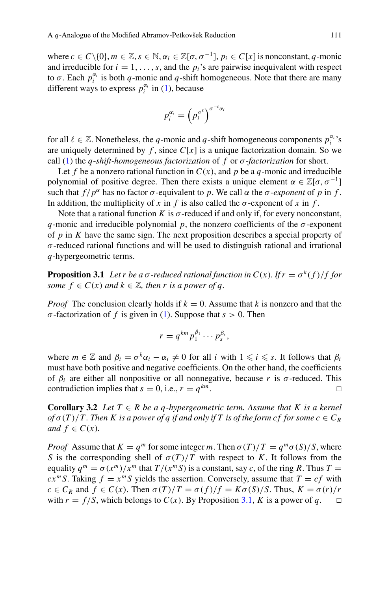where  $c \in C \setminus \{0\}, m \in \mathbb{Z}, s \in \mathbb{N}, \alpha_i \in \mathbb{Z}[\sigma, \sigma^{-1}], p_i \in C[x]$  is nonconstant, *q*-monic and irreducible for  $i = 1, \ldots, s$ , and the  $p_i$ 's are pairwise inequivalent with respect to  $\sigma$ . Each  $p_i^{\alpha_i}$  is both  $q$ -monic and  $q$ -shift homogeneous. Note that there are many different ways to express  $p_i^{\alpha_i}$  in [\(1\)](#page-5-0), because

$$
p_i^{\alpha_i} = \left(p_i^{\sigma^{\ell}}\right)^{\sigma^{-\ell} \alpha_i}
$$

for all  $\ell \in \mathbb{Z}$ . Nonetheless, the *q*-monic and *q*-shift homogeneous components  $p_i^{\alpha_i}$ 's are uniquely determined by  $f$ , since  $C[x]$  is a unique factorization domain. So we call [\(1\)](#page-5-0) the *q*-*shift-homogeneous factorization* of *f* or σ-*factorization* for short.

Let *f* be a nonzero rational function in  $C(x)$ , and *p* be a *q*-monic and irreducible polynomial of positive degree. Then there exists a unique element  $\alpha \in \mathbb{Z}[\sigma, \sigma^{-1}]$ such that  $f/p^{\alpha}$  has no factor  $\sigma$ -equivalent to p. We call  $\alpha$  the  $\sigma$ -exponent of p in f. In addition, the multiplicity of *x* in *f* is also called the  $\sigma$ -exponent of *x* in *f*.

Note that a rational function *K* is  $\sigma$ -reduced if and only if, for every nonconstant, *q*-monic and irreducible polynomial *p*, the nonzero coefficients of the  $\sigma$ -exponent of *p* in *K* have the same sign. The next proposition describes a special property of  $\sigma$ -reduced rational functions and will be used to distinguish rational and irrational *q*-hypergeometric terms.

<span id="page-6-0"></span>**Proposition 3.1** *Let r be a*  $\sigma$ *-reduced rational function in C(x). If*  $r = \sigma^k(f)/f$  *for some*  $f \in C(x)$  *and*  $k \in \mathbb{Z}$ *, then r is a power of q*.

*Proof* The conclusion clearly holds if  $k = 0$ . Assume that *k* is nonzero and that the σ-factorization of *f* is given in [\(1\)](#page-5-0). Suppose that *s* > 0. Then

$$
r=q^{km}p_1^{\beta_1}\cdots p_s^{\beta_s},
$$

where  $m \in \mathbb{Z}$  and  $\beta_i = \sigma^k \alpha_i - \alpha_i \neq 0$  for all *i* with  $1 \leq i \leq s$ . It follows that  $\beta_i$ must have both positive and negative coefficients. On the other hand, the coefficients of β*<sup>i</sup>* are either all nonpositive or all nonnegative, because *r* is σ-reduced. This contradiction implies that  $s = 0$ , i.e.,  $r = q^{km}$ .

<span id="page-6-1"></span>**Corollary 3.2** *Let*  $T \in R$  *be a q-hypergeometric term. Assume that*  $K$  *is a kernel*  $of \sigma(T)/T$ . Then K is a power of q if and only if T is of the form cf for some  $c \in C_R$ *and*  $f \in C(x)$ *.* 

*Proof* Assume that  $K = q^m$  for some integer *m*. Then  $\sigma(T)/T = q^m \sigma(S)/S$ , where *S* is the corresponding shell of  $\sigma(T)/T$  with respect to *K*. It follows from the equality  $q^m = \sigma(x^m)/x^m$  that  $T/(x^mS)$  is a constant, say *c*, of the ring *R*. Thus  $T =$  $cx^m S$ . Taking  $f = x^m S$  yields the assertion. Conversely, assume that  $T = cf$  with *c* ∈ *C<sub>R</sub>* and *f* ∈ *C*(*x*). Then  $\sigma(T)/T = \sigma(f)/f = K\sigma(S)/S$ . Thus,  $K = \sigma(r)/r$  with  $r = f/S$ , which belongs to *C*(*x*). By Proposition 3.1, *K* is a power of *q*.  $\Box$ with  $r = f/S$ , which belongs to  $C(x)$ . By Proposition [3.1,](#page-6-0) K is a power of q.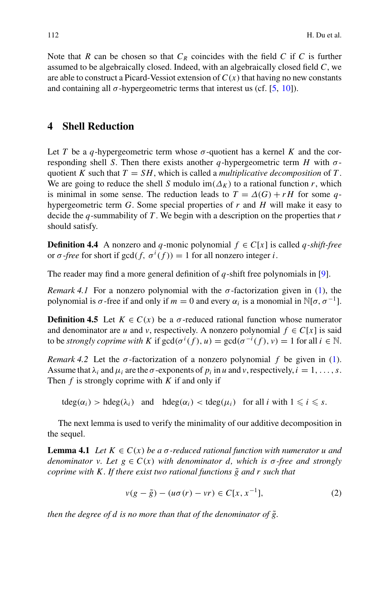Note that *R* can be chosen so that  $C_R$  coincides with the field *C* if *C* is further assumed to be algebraically closed. Indeed, with an algebraically closed field *C*, we are able to construct a Picard-Vessiot extension of  $C(x)$  that having no new constants and containing all  $\sigma$ -hypergeometric terms that interest us (cf. [\[5,](#page-23-5) [10](#page-24-6)]).

## **4 Shell Reduction**

Let *T* be a *q*-hypergeometric term whose  $\sigma$ -quotient has a kernel *K* and the corresponding shell *S*. Then there exists another *q*-hypergeometric term *H* with  $\sigma$ quotient *K* such that  $T = SH$ , which is called a *multiplicative decomposition* of  $T$ . We are going to reduce the shell *S* modulo im( $\Delta_K$ ) to a rational function *r*, which is minimal in some sense. The reduction leads to  $T = \Delta(G) + rH$  for some *q*hypergeometric term *G*. Some special properties of *r* and *H* will make it easy to decide the *q*-summability of *T* . We begin with a description on the properties that *r* should satisfy.

**Definition 4.4** A nonzero and *q*-monic polynomial  $f \in C[x]$  is called *q-shift-free* or  $\sigma$ -*free* for short if  $gcd(f, \sigma^i(f)) = 1$  for all nonzero integer *i*.

The reader may find a more general definition of *q*-shift free polynomials in [\[9](#page-24-3)].

*Remark 4.1* For a nonzero polynomial with the  $\sigma$ -factorization given in [\(1\)](#page-5-0), the polynomial is  $\sigma$ -free if and only if  $m = 0$  and every  $\alpha_i$  is a monomial in  $\mathbb{N}[\sigma, \sigma^{-1}]$ .

**Definition 4.5** Let  $K \in C(x)$  be a  $\sigma$ -reduced rational function whose numerator and denominator are *u* and *v*, respectively. A nonzero polynomial  $f \in C[x]$  is said to be *strongly coprime with* K if  $gcd(\sigma^i(f), u) = gcd(\sigma^{-i}(f), v) = 1$  for all  $i \in \mathbb{N}$ .

*Remark 4.2* Let the σ-factorization of a nonzero polynomial *f* be given in [\(1\)](#page-5-0). Assume that  $\lambda_i$  and  $\mu_i$  are the  $\sigma$ -exponents of  $p_i$  in  $u$  and  $v$ , respectively,  $i = 1, \ldots, s$ . Then *f* is strongly coprime with *K* if and only if

<span id="page-7-1"></span> $tdeg(\alpha_i) > hdeg(\lambda_i)$  and  $hdeg(\alpha_i) < tdeg(\mu_i)$  for all *i* with  $1 \leq i \leq s$ .

The next lemma is used to verify the minimality of our additive decomposition in the sequel.

**Lemma 4.1** *Let*  $K \in C(x)$  *be a*  $\sigma$ -reduced rational function with numerator u and *denominator v. Let*  $g \in C(x)$  *with denominator d, which is*  $\sigma$ -free and strongly *coprime with K. If there exist two rational functions*  $\tilde{g}$  *and r such that* 

<span id="page-7-0"></span>
$$
v(g - \tilde{g}) - (u\sigma(r) - vr) \in C[x, x^{-1}],
$$
 (2)

*then the degree of d is no more than that of the denominator of*  $\tilde{g}$ .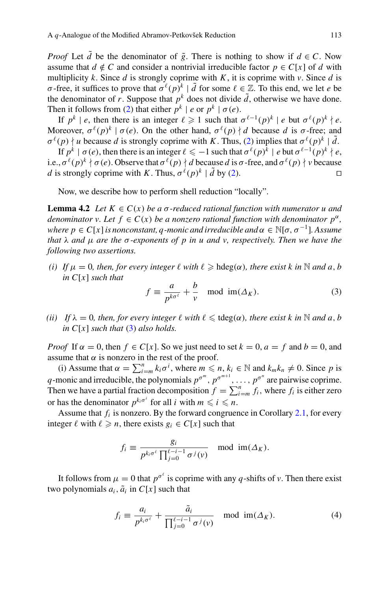*Proof* Let  $\tilde{d}$  be the denominator of  $\tilde{g}$ . There is nothing to show if  $d \in C$ . Now assume that  $d \notin C$  and consider a nontrivial irreducible factor  $p \in C[x]$  of *d* with multiplicity *k*. Since *d* is strongly coprime with *K*, it is coprime with *v*. Since *d* is σ-free, it suffices to prove that  $σ^{\ell}(p)^{k} | d$  for some  $\ell \in \mathbb{Z}$ . To this end, we let *e* be the denominator of *r*. Suppose that  $p^k$  does not divide  $\tilde{d}$ , otherwise we have done. Then it follows from [\(2\)](#page-7-0) that either  $p^k \mid e$  or  $p^k \mid \sigma(e)$ .

If  $p^k \mid e$ , then there is an integer  $\ell \geq 1$  such that  $\sigma^{\ell-1}(p)^k \mid e$  but  $\sigma^{\ell}(p)^k \nmid e$ . Moreover,  $\sigma^{\ell}(p)^{k} | \sigma(e)$ . On the other hand,  $\sigma^{\ell}(p) | d$  because *d* is  $\sigma$ -free; and  $\sigma^{\ell}(p)$  | *u* because *d* is strongly coprime with *K*. Thus, [\(2\)](#page-7-0) implies that  $\sigma^{\ell}(p)^{k}$  |  $\tilde{d}$ .

If  $p^k \mid \sigma(e)$ , then there is an integer  $\ell \leq -1$  such that  $\sigma^{\ell}(p)^k \mid e$  but  $\sigma^{\ell-1}(p)^k \nmid e$ , i.e.,  $\sigma^{\ell}(p)^k \nmid \sigma(e)$ . Observe that  $\sigma^{\ell}(p) \nmid d$  because *d* is  $\sigma$ -free, and  $\sigma^{\ell}(p) \nmid v$  because *d* is strongly coprime with *K*. Thus,  $\sigma^{\ell}(p)^{k} | \tilde{d}$  by [\(2\)](#page-7-0).

Now, we describe how to perform shell reduction "locally".

**Lemma 4.2** *Let*  $K \in C(x)$  *be a*  $\sigma$ -reduced rational function with numerator u and *denominator v. Let*  $f \in C(x)$  *be a nonzero rational function with denominator*  $p^{\alpha}$ *, where p*  $\in C[x]$  *is nonconstant, q-monic and irreducible and*  $\alpha \in \mathbb{N}[\sigma, \sigma^{-1}]$ *. Assume that* λ *and* μ *are the* σ*-exponents of p in u and v, respectively. Then we have the following two assertions.*

*(i)* If  $\mu = 0$ , then, for every integer  $\ell$  with  $\ell \geq hdeg(\alpha)$ , there exist k in N and a, b *in C*[*x*] *such that*

<span id="page-8-2"></span><span id="page-8-0"></span>
$$
f \equiv \frac{a}{p^{k\sigma^{\ell}}} + \frac{b}{v} \mod \text{im}(\Delta_K). \tag{3}
$$

*(ii) If*  $\lambda = 0$ *, then, for every integer*  $\ell$  *with*  $\ell \leq \text{tdeg}(\alpha)$ *, there exist k in* N *and a, b in*  $C[x]$  *such that* [\(3\)](#page-8-0) *also holds.* 

*Proof* If  $\alpha = 0$ , then  $f \in C[x]$ . So we just need to set  $k = 0$ ,  $a = f$  and  $b = 0$ , and assume that  $\alpha$  is nonzero in the rest of the proof.

(i) Assume that  $\alpha = \sum_{i=m}^{n} k_i \sigma^i$ , where  $m \leq n, k_i \in \mathbb{N}$  and  $k_m k_n \neq 0$ . Since p is *q*-monic and irreducible, the polynomials  $p^{\sigma^m}$ ,  $p^{\sigma^{m+1}}$ , ...,  $p^{\sigma^n}$  are pairwise coprime. Then we have a partial fraction decomposition  $f = \sum_{i=m}^{n} f_i$ , where  $f_i$  is either zero or has the denominator  $p^{k_i \sigma^i}$  for all *i* with  $m \leq i \leq n$ .

Assume that  $f_i$  is nonzero. By the forward congruence in Corollary [2.1,](#page-3-2) for every integer  $\ell$  with  $\ell \geq n$ , there exists  $g_i \in C[x]$  such that

$$
f_i \equiv \frac{g_i}{p^{k_i \sigma^t} \prod_{j=0}^{\ell-i-1} \sigma^j(v)} \mod \text{im}(\Delta_K).
$$

It follows from  $\mu = 0$  that  $p^{\sigma^{\ell}}$  is coprime with any *q*-shifts of *v*. Then there exist two polynomials  $a_i$ ,  $\tilde{a}_i$  in  $C[x]$  such that

<span id="page-8-1"></span>
$$
f_i \equiv \frac{a_i}{p^{k_i \sigma^t}} + \frac{\tilde{a}_i}{\prod_{j=0}^{\ell-i-1} \sigma^j(v)} \mod \text{im}(\Delta_K). \tag{4}
$$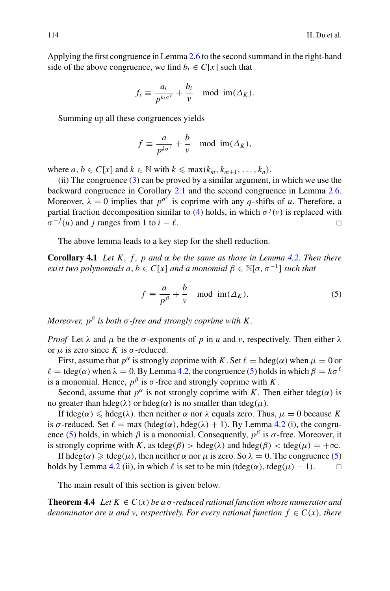Applying the first congruence in Lemma [2.6](#page-3-3) to the second summand in the right-hand side of the above congruence, we find  $b_i \in C[x]$  such that

$$
f_i \equiv \frac{a_i}{p^{k_i \sigma^\ell}} + \frac{b_i}{v} \mod \mathfrak{im}(\Delta_K).
$$

Summing up all these congruences yields

$$
f \equiv \frac{a}{p^{k\sigma^\ell}} + \frac{b}{v} \mod \text{im}(\Delta_K),
$$

where  $a, b \in C[x]$  and  $k \in \mathbb{N}$  with  $k \leq \max(k_m, k_{m+1}, \ldots, k_n)$ .

(ii) The congruence  $(3)$  can be proved by a similar argument, in which we use the backward congruence in Corollary [2.1](#page-3-2) and the second congruence in Lemma [2.6.](#page-3-3) Moreover,  $\lambda = 0$  implies that  $p^{\sigma^{\ell}}$  is coprime with any *q*-shifts of *u*. Therefore, a partial fraction decomposition similar to [\(4\)](#page-8-1) holds, in which  $\sigma^{j}(v)$  is replaced with  $\sigma^{-j}(u)$  and *j* ranges from 1 to *i* −  $\ell$ .

The above lemma leads to a key step for the shell reduction.

**Corollary 4.1** *Let* K, f, p and  $\alpha$  be the same as those in Lemma [4.2.](#page-8-2) Then there *exist two polynomials a, b*  $\in C[x]$  *and a monomial*  $\beta \in \mathbb{N}[\sigma, \sigma^{-1}]$  *such that* 

<span id="page-9-1"></span><span id="page-9-0"></span>
$$
f \equiv \frac{a}{p^{\beta}} + \frac{b}{v} \mod \text{im}(\Delta_K). \tag{5}
$$

*Moreover,*  $p^{\beta}$  *is both*  $\sigma$ -free and strongly coprime with K.

*Proof* Let  $\lambda$  and  $\mu$  be the  $\sigma$ -exponents of  $p$  in  $u$  and  $v$ , respectively. Then either  $\lambda$ or μ is zero since *K* is σ-reduced.

First, assume that  $p^{\alpha}$  is strongly coprime with *K*. Set  $\ell = \text{hdeg}(\alpha)$  when  $\mu = 0$  or  $\ell = \text{tdeg}(\alpha)$  when  $\lambda = 0$ . By Lemma [4.2,](#page-8-2) the congruence [\(5\)](#page-9-0) holds in which  $\beta = k\sigma^{\ell}$ is a monomial. Hence,  $p^{\beta}$  is  $\sigma$ -free and strongly coprime with *K*.

Second, assume that  $p^{\alpha}$  is not strongly coprime with *K*. Then either tdeg( $\alpha$ ) is no greater than hdeg(λ) or hdeg( $α$ ) is no smaller than tdeg( $μ$ ).

If tdeg( $\alpha$ )  $\leq$  hdeg( $\lambda$ ). then neither  $\alpha$  nor  $\lambda$  equals zero. Thus,  $\mu = 0$  because *K* is  $\sigma$ -reduced. Set  $\ell = \max (\text{hdeg}(\alpha), \text{hdeg}(\lambda) + 1)$ . By Lemma [4.2](#page-8-2) (i), the congru-ence [\(5\)](#page-9-0) holds, in which  $\beta$  is a monomial. Consequently,  $p^{\beta}$  is  $\sigma$ -free. Moreover, it is strongly coprime with *K*, as tdeg( $\beta$ ) > hdeg( $\lambda$ ) and hdeg( $\beta$ ) < tdeg( $\mu$ ) = + $\infty$ .

If hdeg(α)  $\geq$  tdeg(μ), then neither α nor μ is zero. So  $\lambda = 0$ . The congruence [\(5\)](#page-9-0) lds by Lemma 4.2 (ii), in which  $\ell$  is set to be min (tdeg(α), tdeg(μ) – 1). holds by Lemma [4.2](#page-8-2) (ii), in which  $\ell$  is set to be min (tdeg( $\alpha$ ), tdeg( $\mu$ ) – 1).

<span id="page-9-2"></span>The main result of this section is given below.

**Theorem 4.4** *Let*  $K \in C(x)$  *be a*  $\sigma$ -reduced rational function whose numerator and *denominator are u and v, respectively. For every rational function*  $f \in C(x)$ *, there*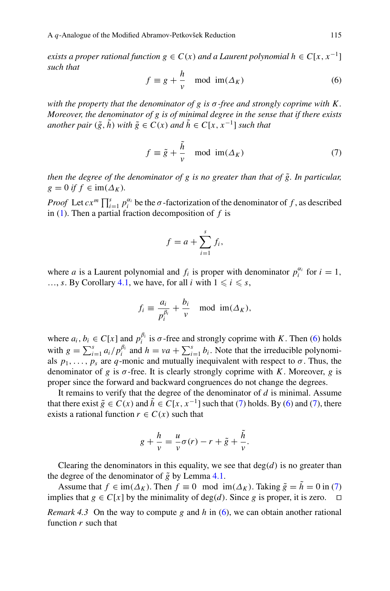*exists a proper rational function*  $g \in C(x)$  *<i>and a Laurent polynomial*  $h \in C[x, x^{-1}]$ *such that*

<span id="page-10-0"></span>
$$
f \equiv g + \frac{h}{v} \mod \text{im}(\Delta_K) \tag{6}
$$

*with the property that the denominator of g is* σ*-free and strongly coprime with K . Moreover, the denominator of g is of minimal degree in the sense that if there exists another pair*  $(\tilde{g}, \tilde{h})$  *with*  $\tilde{g} \in C(x)$  *and*  $\tilde{h} \in C[x, x^{-1}]$  *such that* 

<span id="page-10-1"></span>
$$
f \equiv \tilde{g} + \frac{\tilde{h}}{v} \mod \text{im}(\Delta_K) \tag{7}
$$

*then the degree of the denominator of g is no greater than that of*  $\tilde{g}$ *. In particular,*  $g = 0$  *if*  $f \in \text{im}(\Delta_K)$ .

*Proof* Let  $cx^m \prod_{i=1}^s p_i^{\alpha_i}$  be the  $\sigma$ -factorization of the denominator of *f*, as described in [\(1\)](#page-5-0). Then a partial fraction decomposition of *f* is

$$
f = a + \sum_{i=1}^{s} f_i,
$$

where *a* is a Laurent polynomial and  $f_i$  is proper with denominator  $p_i^{\alpha_i}$  for  $i = 1$ , ..., *s*. By Corollary [4.1,](#page-9-1) we have, for all *i* with  $1 \le i \le s$ ,

$$
f_i \equiv \frac{a_i}{p_i^{\beta_i}} + \frac{b_i}{v} \mod \text{im}(\Delta_K),
$$

where  $a_i, b_i \in C[x]$  and  $p_i^{\beta_i}$  is  $\sigma$ -free and strongly coprime with *K*. Then [\(6\)](#page-10-0) holds with  $g = \sum_{i=1}^{s} a_i / p_i^{\beta_i}$  and  $h = va + \sum_{i=1}^{s} b_i$ . Note that the irreducible polynomials  $p_1, \ldots, p_s$  are *q*-monic and mutually inequivalent with respect to  $\sigma$ . Thus, the denominator of *g* is  $\sigma$ -free. It is clearly strongly coprime with *K*. Moreover, *g* is proper since the forward and backward congruences do not change the degrees.

It remains to verify that the degree of the denominator of *d* is minimal. Assume that there exist  $\tilde{g} \in C(x)$  and  $\tilde{h} \in C[x, x^{-1}]$  such that [\(7\)](#page-10-1) holds. By [\(6\)](#page-10-0) and (7), there exists a rational function  $r \in C(x)$  such that

$$
g + \frac{h}{v} = \frac{u}{v}\sigma(r) - r + \tilde{g} + \frac{\tilde{h}}{v}.
$$

Clearing the denominators in this equality, we see that  $deg(d)$  is no greater than the degree of the denominator of  $\tilde{g}$  by Lemma [4.1.](#page-7-1)

Assume that  $f \in \text{im}(\Delta_K)$ . Then  $f \equiv 0 \mod \text{im}(\Delta_K)$ . Taking  $\tilde{g} = \tilde{h} = 0$  in [\(7\)](#page-10-1) plies that  $g \in C[x]$  by the minimality of deg(d). Since g is proper, it is zero. implies that  $g \in C[x]$  by the minimality of deg(*d*). Since *g* is proper, it is zero.

*Remark 4.3* On the way to compute *g* and *h* in [\(6\)](#page-10-0), we can obtain another rational function *r* such that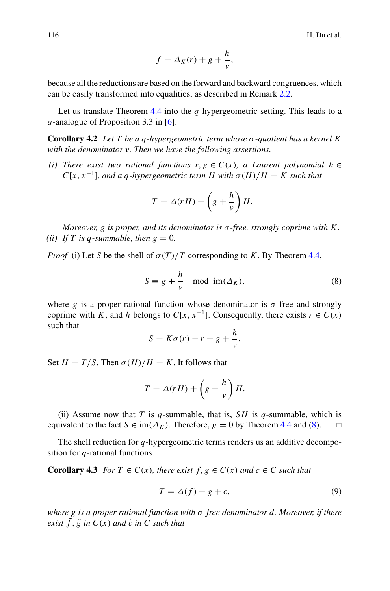$$
f = \Delta_K(r) + g + \frac{h}{v},
$$

because all the reductions are based on the forward and backward congruences, which can be easily transformed into equalities, as described in Remark [2.2.](#page-3-1)

<span id="page-11-1"></span>Let us translate Theorem [4.4](#page-9-2) into the *q*-hypergeometric setting. This leads to a *q*-analogue of Proposition 3.3 in [\[6\]](#page-23-3).

**Corollary 4.2** *Let T be a q-hypergeometric term whose* σ*-quotient has a kernel K with the denominator v. Then we have the following assertions.*

*(i)* There exist two rational functions  $r, g ∈ C(x)$ , a Laurent polynomial  $h ∈ T(x)$ *C*[ $x$ ,  $x^{-1}$ ]*, and a q-hypergeometric term H with*  $\sigma(H)/H = K$  such that

$$
T = \Delta(rH) + \left(g + \frac{h}{v}\right)H.
$$

*Moreover, g is proper, and its denominator is* σ*-free, strongly coprime with K . (ii)* If T is a-summable, then  $g = 0$ .

*Proof* (i) Let *S* be the shell of  $\sigma(T)/T$  corresponding to *K*. By Theorem [4.4,](#page-9-2)

<span id="page-11-0"></span>
$$
S \equiv g + \frac{h}{v} \mod \text{im}(\Delta_K),\tag{8}
$$

where *g* is a proper rational function whose denominator is  $\sigma$ -free and strongly coprime with *K*, and *h* belongs to  $C[x, x^{-1}]$ . Consequently, there exists  $r \in C(x)$ such that

$$
S = K\sigma(r) - r + g + \frac{h}{v}.
$$

Set  $H = T/S$ . Then  $\sigma(H)/H = K$ . It follows that

$$
T = \Delta(rH) + \left(g + \frac{h}{v}\right)H.
$$

(ii) Assume now that *T* is *q*-summable, that is, *SH* is *q*-summable, which is equivalent to the fact  $S \in \text{im}(\Delta_K)$ . Therefore,  $g = 0$  by Theorem [4.4](#page-9-2) and [\(8\)](#page-11-0).  $\square$ 

<span id="page-11-3"></span>The shell reduction for *q*-hypergeometric terms renders us an additive decomposition for *q*-rational functions.

**Corollary 4.3** *For*  $T \in C(x)$ *, there exist*  $f, g \in C(x)$  *and*  $c \in C$  *such that* 

<span id="page-11-2"></span>
$$
T = \Delta(f) + g + c,\tag{9}
$$

*where g is a proper rational function with* σ*-free denominator d. Moreover, if there exist*  $\tilde{f}$ ,  $\tilde{g}$  *in*  $C(x)$  *and*  $\tilde{c}$  *in*  $C$  *such that*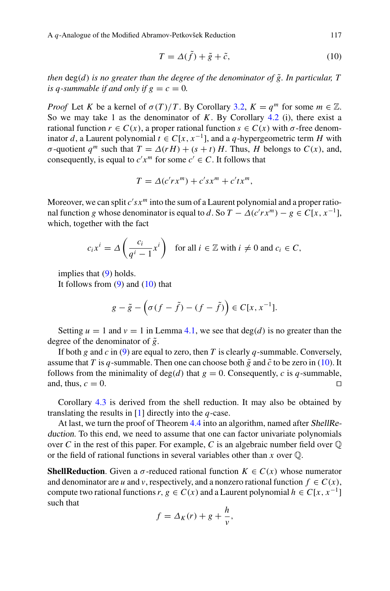A *q*-Analogue of the Modified Abramov-Petkovšek Reduction 117

<span id="page-12-0"></span>
$$
T = \Delta(\tilde{f}) + \tilde{g} + \tilde{c},\tag{10}
$$

*then*  $deg(d)$  *is no greater than the degree of the denominator of*  $\tilde{g}$ *. In particular, T is q-summable if and only if*  $g = c = 0$ *.* 

*Proof* Let *K* be a kernel of  $\sigma(T)/T$ . By Corollary [3.2,](#page-6-1)  $K = q^m$  for some  $m \in \mathbb{Z}$ . So we may take 1 as the denominator of *K*. By Corollary [4.2](#page-11-1) (i), there exist a rational function  $r \in C(x)$ , a proper rational function  $s \in C(x)$  with  $\sigma$ -free denominator *d*, a Laurent polynomial  $t \in C[x, x^{-1}]$ , and a *q*-hypergeometric term *H* with *σ*-quotient *q*<sup>*m*</sup> such that  $T = \Delta(rH) + (s + t)H$ . Thus, *H* belongs to *C(x)*, and, consequently, is equal to  $c'x^m$  for some  $c' \in C$ . It follows that

$$
T = \Delta(c'rx^m) + c'sx^m + c'tx^m,
$$

Moreover, we can split  $c'sx^m$  into the sum of a Laurent polynomial and a proper rational function *g* whose denominator is equal to *d*. So  $T - \Delta(c'rx^m) - g \in C[x, x^{-1}]$ , which, together with the fact

$$
c_i x^i = \Delta \left( \frac{c_i}{q^i - 1} x^i \right) \quad \text{for all } i \in \mathbb{Z} \text{ with } i \neq 0 \text{ and } c_i \in C,
$$

implies that [\(9\)](#page-11-2) holds.

It follows from  $(9)$  and  $(10)$  that

$$
g - \tilde{g} - \left(\sigma(f - \tilde{f}) - (f - \tilde{f})\right) \in C[x, x^{-1}].
$$

Setting  $u = 1$  and  $v = 1$  in Lemma [4.1,](#page-7-1) we see that deg(*d*) is no greater than the degree of the denominator of  $\tilde{g}$ .

If both *g* and *c* in [\(9\)](#page-11-2) are equal to zero, then *T* is clearly *q*-summable. Conversely, assume that *T* is *q*-summable. Then one can choose both  $\tilde{g}$  and  $\tilde{c}$  to be zero in [\(10\)](#page-12-0). It follows from the minimality of deg(*d*) that  $g = 0$ . Consequently, *c* is *q*-summable, and, thus,  $c = 0$ . and, thus,  $c = 0$ .

Corollary [4.3](#page-11-3) is derived from the shell reduction. It may also be obtained by translating the results in [\[1\]](#page-23-0) directly into the *q*-case.

At last, we turn the proof of Theorem [4.4](#page-9-2) into an algorithm, named after ShellReduction. To this end, we need to assume that one can factor univariate polynomials over C in the rest of this paper. For example, C is an algebraic number field over  $\mathbb O$ or the field of rational functions in several variables other than *x* over Q.

**ShellReduction**. Given a  $\sigma$ -reduced rational function  $K \in C(x)$  whose numerator and denominator are *u* and *v*, respectively, and a nonzero rational function  $f \in C(x)$ , compute two rational functions  $r, g \in C(x)$  and a Laurent polynomial  $h \in C[x, x^{-1}]$ such that

$$
f = \Delta_K(r) + g + \frac{h}{v},
$$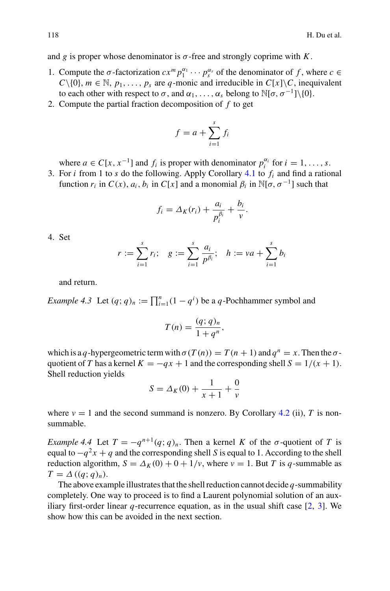and *g* is proper whose denominator is  $\sigma$ -free and strongly coprime with *K*.

- 1. Compute the  $\sigma$ -factorization  $cx^m p_1^{\alpha_1} \cdots p_s^{\alpha_s}$  of the denominator of *f*, where  $c \in$  $C\setminus\{0\}$ ,  $m \in \mathbb{N}$ ,  $p_1, \ldots, p_s$  are *q*-monic and irreducible in  $C[x]\setminus C$ , inequivalent to each other with respect to  $\sigma$ , and  $\alpha_1, \ldots, \alpha_s$  belong to  $\mathbb{N}[\sigma, \sigma^{-1}]\setminus\{0\}.$
- 2. Compute the partial fraction decomposition of *f* to get

$$
f = a + \sum_{i=1}^{s} f_i
$$

where  $a \in C[x, x^{-1}]$  and  $f_i$  is proper with denominator  $p_i^{\alpha_i}$  for  $i = 1, ..., s$ .

3. For *i* from 1 to *s* do the following. Apply Corollary [4.1](#page-9-1) to *fi* and find a rational function  $r_i$  in  $C(x)$ ,  $a_i$ ,  $b_i$  in  $C[x]$  and a monomial  $\beta_i$  in  $\mathbb{N}[\sigma, \sigma^{-1}]$  such that

$$
f_i = \Delta_K(r_i) + \frac{a_i}{p_i^{\beta_i}} + \frac{b_i}{v}.
$$

4. Set

$$
r := \sum_{i=1}^{s} r_i;
$$
  $g := \sum_{i=1}^{s} \frac{a_i}{p^{\beta_i}};$   $h := va + \sum_{i=1}^{s} b_i$ 

and return.

*Example 4.3* Let  $(q; q)_n := \prod_{i=1}^n (1 - q^i)$  be a *q*-Pochhammer symbol and

$$
T(n) = \frac{(q;q)_n}{1+q^n},
$$

which is a *q*-hypergeometric term with  $\sigma(T(n)) = T(n + 1)$  and  $q^n = x$ . Then the  $\sigma$ quotient of *T* has a kernel  $K = -qx + 1$  and the corresponding shell  $S = 1/(x + 1)$ . Shell reduction yields

$$
S = \Delta_K(0) + \frac{1}{x+1} + \frac{0}{v}
$$

where  $v = 1$  and the second summand is nonzero. By Corollary [4.2](#page-11-1) (ii), *T* is nonsummable.

<span id="page-13-0"></span>*Example 4.4* Let  $T = -q^{n+1}(q; q)_n$ . Then a kernel *K* of the  $\sigma$ -quotient of *T* is equal to  $-q^2x + q$  and the corresponding shell *S* is equal to 1. According to the shell reduction algorithm,  $S = \Delta_K(0) + 0 + 1/v$ , where  $v = 1$ . But *T* is *q*-summable as  $T = \Delta ((q; q)_n).$ 

The above example illustrates that the shell reduction cannot decide *q*-summability completely. One way to proceed is to find a Laurent polynomial solution of an auxiliary first-order linear  $q$ -recurrence equation, as in the usual shift case  $[2, 3]$  $[2, 3]$  $[2, 3]$  $[2, 3]$ . We show how this can be avoided in the next section.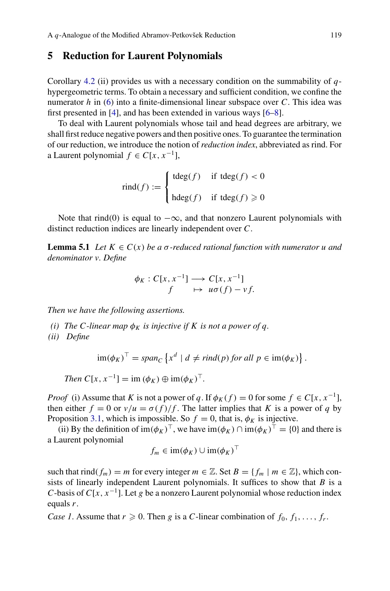#### **5 Reduction for Laurent Polynomials**

Corollary [4.2](#page-11-1) (ii) provides us with a necessary condition on the summability of *q*hypergeometric terms. To obtain a necessary and sufficient condition, we confine the numerator *h* in [\(6\)](#page-10-0) into a finite-dimensional linear subspace over *C*. This idea was first presented in [\[4\]](#page-23-4), and has been extended in various ways [\[6](#page-23-3)[–8](#page-24-7)].

To deal with Laurent polynomials whose tail and head degrees are arbitrary, we shall first reduce negative powers and then positive ones. To guarantee the termination of our reduction, we introduce the notion of *reduction index*, abbreviated as rind. For a Laurent polynomial  $f$  ∈  $C[x, x^{-1}]$ ,

$$
find(f) := \begin{cases} tdeg(f) & \text{if } tdeg(f) < 0 \\ hdeg(f) & \text{if } tdeg(f) \ge 0 \end{cases}
$$

<span id="page-14-0"></span>Note that rind(0) is equal to  $-\infty$ , and that nonzero Laurent polynomials with distinct reduction indices are linearly independent over *C*.

**Lemma 5.1** *Let*  $K \in C(x)$  *be a*  $\sigma$ -reduced rational function with numerator u and *denominator v. Define*

$$
\begin{aligned} \phi_K: C[x, x^{-1}] &\longrightarrow C[x, x^{-1}] \\ f &\mapsto u\sigma(f) - v f. \end{aligned}
$$

*Then we have the following assertions.*

*(i)* The C-linear map  $\phi_K$  is injective if K is not a power of q.

*(ii) Define*

$$
\operatorname{im}(\phi_K)^\top = \operatorname{span}_C \left\{ x^d \mid d \neq \operatorname{rind}(p) \text{ for all } p \in \operatorname{im}(\phi_K) \right\}.
$$

*Then*  $C[x, x^{-1}] = \text{im } (\phi_K) \oplus \text{im}(\phi_K)^{\top}$ .

*Proof* (i) Assume that *K* is not a power of *q*. If  $\phi_K(f) = 0$  for some  $f \in C[x, x^{-1}]$ , then either  $f = 0$  or  $v/u = \sigma(f)/f$ . The latter implies that *K* is a power of *q* by Proposition [3.1,](#page-6-0) which is impossible. So  $f = 0$ , that is,  $\phi_K$  is injective.

(ii) By the definition of  $\text{im}(\phi_K)^\top$ , we have  $\text{im}(\phi_K) \cap \text{im}(\phi_K)^\top = \{0\}$  and there is a Laurent polynomial

$$
f_m \in \operatorname{im}(\phi_K) \cup \operatorname{im}(\phi_K)^\perp
$$

such that rind( $f_m$ ) = *m* for every integer  $m \in \mathbb{Z}$ . Set  $B = \{f_m \mid m \in \mathbb{Z}\}\)$ , which consists of linearly independent Laurent polynomials. It suffices to show that *B* is a *C*-basis of *C*[ $x$ ,  $x^{-1}$ ]. Let *g* be a nonzero Laurent polynomial whose reduction index equals *r*.

*Case 1.* Assume that  $r \ge 0$ . Then *g* is a *C*-linear combination of  $f_0, f_1, \ldots, f_r$ .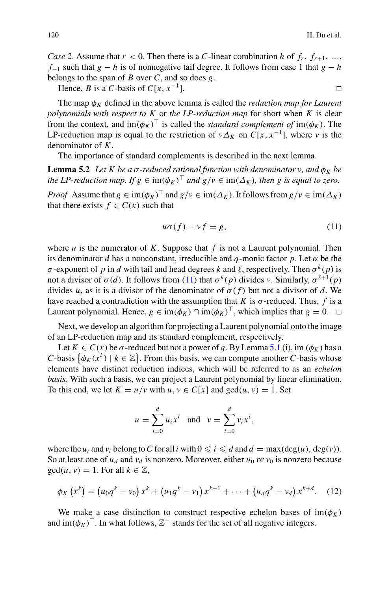*Case 2.* Assume that  $r < 0$ . Then there is a *C*-linear combination *h* of  $f_r$ ,  $f_{r+1}$ , …, *f*<sup>−1</sup> such that *g* − *h* is of nonnegative tail degree. It follows from case 1 that *g* − *h* belongs to the span of *B* over *C*, and so does *g*.

Hence, *B* is a *C*-basis of  $C[x, x^{-1}]$ .

The map  $\phi_K$  defined in the above lemma is called the *reduction map for Laurent polynomials with respect to K* or *the LP-reduction map* for short when *K* is clear from the context, and  $\text{im}(\phi_K)^\top$  is called the *standard complement of*  $\text{im}(\phi_K)$ . The LP-reduction map is equal to the restriction of  $v \Delta_K$  on  $C[x, x^{-1}]$ , where *v* is the denominator of *K*.

The importance of standard complements is described in the next lemma.

**Lemma 5.2** *Let K be a*  $\sigma$ -reduced rational function with denominator v, and  $\phi_K$  be *the LP-reduction map. If*  $g \in \text{im}(\phi_K)^\top$  *and*  $g/v \in \text{im}(\Delta_K)$ *, then* g *is equal to zero.* 

*Proof* Assume that  $g \in \text{im}(\phi_K)^\top$  and  $g/v \in \text{im}(\Delta_K)$ . It follows from  $g/v \in \text{im}(\Delta_K)$ that there exists  $f \in C(x)$  such that

<span id="page-15-0"></span>
$$
u\sigma(f) - v f = g,\tag{11}
$$

where  $u$  is the numerator of  $K$ . Suppose that  $f$  is not a Laurent polynomial. Then its denominator *d* has a nonconstant, irreducible and *q*-monic factor *p*. Let  $\alpha$  be the σ-exponent of *p* in *d* with tail and head degrees *k* and *l*, respectively. Then  $\sigma^k(p)$  is not a divisor of  $\sigma(d)$ . It follows from [\(11\)](#page-15-0) that  $\sigma^k(p)$  divides *v*. Similarly,  $\sigma^{\ell+1}(p)$ divides *u*, as it is a divisor of the denominator of  $\sigma(f)$  but not a divisor of *d*. We have reached a contradiction with the assumption that *K* is  $\sigma$ -reduced. Thus, *f* is a Laurent polynomial. Hence,  $g \in \text{im}(\phi_K) \cap \text{im}(\phi_K)^{\top}$ , which implies that  $g = 0$ .  $\Box$ 

Next, we develop an algorithm for projecting a Laurent polynomial onto the image of an LP-reduction map and its standard complement, respectively.

Let  $K \in C(x)$  be  $\sigma$ -reduced but not a power of q. By Lemma [5.1](#page-14-0) (i), im  $(\phi_K)$  has a *C*-basis  $\{\phi_K(x^k) \mid k \in \mathbb{Z}\}$ . From this basis, we can compute another *C*-basis whose elements have distinct reduction indices, which will be referred to as an *echelon basis*. With such a basis, we can project a Laurent polynomial by linear elimination. To this end, we let  $K = u/v$  with  $u, v \in C[x]$  and  $gcd(u, v) = 1$ . Set

$$
u = \sum_{i=0}^{d} u_i x^i
$$
 and  $v = \sum_{i=0}^{d} v_i x^i$ ,

where the  $u_i$  and  $v_i$  belong to C for all *i* with  $0 \le i \le d$  and  $d = \max(\deg(u), \deg(v))$ . So at least one of  $u_d$  and  $v_d$  is nonzero. Moreover, either  $u_0$  or  $v_0$  is nonzero because  $gcd(u, v) = 1$ . For all  $k \in \mathbb{Z}$ ,

<span id="page-15-1"></span>
$$
\phi_K(x^k) = (u_0 q^k - v_0) x^k + (u_1 q^k - v_1) x^{k+1} + \dots + (u_d q^k - v_d) x^{k+d}.
$$
 (12)

We make a case distinction to construct respective echelon bases of  $\text{im}(\phi_K)$ and  $\text{im}(\phi_K)^\top$ . In what follows,  $\mathbb{Z}^-$  stands for the set of all negative integers.

<span id="page-15-2"></span>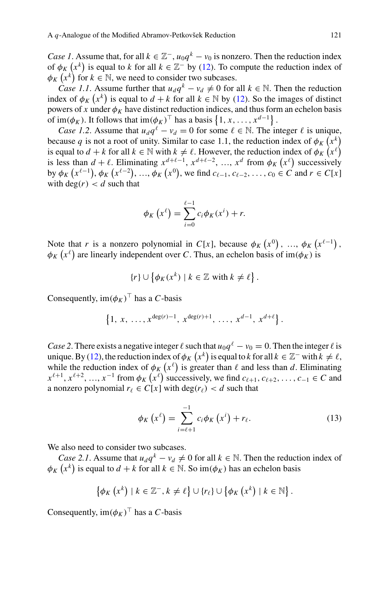*Case 1*. Assume that, for all  $k \in \mathbb{Z}^{-}$ ,  $u_0 q^k - v_0$  is nonzero. Then the reduction index of  $\phi_K(x^k)$  is equal to *k* for all  $k \in \mathbb{Z}^-$  by [\(12\)](#page-15-1). To compute the reduction index of  $\phi_K(x^k)$  for  $k \in \mathbb{N}$ , we need to consider two subcases.

*Case 1.1*. Assume further that  $u_d q^k - v_d \neq 0$  for all  $k \in \mathbb{N}$ . Then the reduction index of  $\phi_K(x^k)$  is equal to  $d + k$  for all  $k \in \mathbb{N}$  by [\(12\)](#page-15-1). So the images of distinct powers of *x* under  $\phi_K$  have distinct reduction indices, and thus form an echelon basis of  $\text{im}(\phi_K)$ . It follows that  $\text{im}(\phi_K)^\top$  has a basis  $\{1, x, \ldots, x^{d-1}\}$ .

*Case 1.2.* Assume that  $u_d q^{\ell} - v_d = 0$  for some  $\ell \in \mathbb{N}$ . The integer  $\ell$  is unique, because *q* is not a root of unity. Similar to case 1.1, the reduction index of  $\phi_K(x^k)$ is equal to  $d + k$  for all  $k \in \mathbb{N}$  with  $k \neq \ell$ . However, the reduction index of  $\phi_K(x^{\ell})$ is less than  $d + \ell$ . Eliminating  $x^{d+\ell-1}$ ,  $x^{d+\ell-2}$ , …,  $x^d$  from  $\phi_K(x^{\ell})$  successively by  $\phi_K(x^{\ell-1}), \phi_K(x^{\ell-2}), \dots, \phi_K(x^0),$  we find  $c_{\ell-1}, c_{\ell-2}, \dots, c_0 \in C$  and  $r \in C[x]$ with  $deg(r) < d$  such that

$$
\phi_K(x^{\ell}) = \sum_{i=0}^{\ell-1} c_i \phi_K(x^i) + r.
$$

Note that *r* is a nonzero polynomial in *C*[*x*], because  $\phi_K(x^0)$ , ...,  $\phi_K(x^{\ell-1})$ ,  $\phi_K(x^{\ell})$  are linearly independent over *C*. Thus, an echelon basis of im( $\phi_K$ ) is

$$
\{r\} \cup \left\{\phi_K(x^k) \mid k \in \mathbb{Z} \text{ with } k \neq \ell\right\}.
$$

Consequently,  $\text{im}(\phi_K)^\top$  has a *C*-basis

$$
\{1, x, \ldots, x^{\deg(r)-1}, x^{\deg(r)+1}, \ldots, x^{d-1}, x^{d+\ell}\}.
$$

*Case 2*. There exists a negative integer  $\ell$  such that  $u_0 q^{\ell} - v_0 = 0$ . Then the integer  $\ell$  is unique. By [\(12\)](#page-15-1), the reduction index of  $\phi_K(x^k)$  is equal to *k* for all  $k \in \mathbb{Z}^-$  with  $k \neq \ell$ , while the reduction index of  $\phi_K(x^{\ell})$  is greater than  $\ell$  and less than  $d$ . Eliminating  $x^{\ell+1}, x^{\ell+2}, ..., x^{-1}$  from  $\phi_K(x^{\ell})$  successively, we find  $c_{\ell+1}, c_{\ell+2}, ..., c_{-1} \in C$  and a nonzero polynomial  $r_\ell \in C[x]$  with deg( $r_\ell$ ) < *d* such that

<span id="page-16-0"></span>
$$
\phi_K\left(x^{\ell}\right) = \sum_{i=\ell+1}^{-1} c_i \phi_K\left(x^i\right) + r_{\ell}.\tag{13}
$$

We also need to consider two subcases.

*Case 2.1.* Assume that  $u_d q^k - v_d \neq 0$  for all  $k \in \mathbb{N}$ . Then the reduction index of  $\phi_K(x^k)$  is equal to  $d + k$  for all  $k \in \mathbb{N}$ . So  $\text{im}(\phi_K)$  has an echelon basis

$$
\left\{\phi_K\left(x^k\right) \mid k \in \mathbb{Z}^-, k \neq \ell\right\} \cup \left\{r_\ell\right\} \cup \left\{\phi_K\left(x^k\right) \mid k \in \mathbb{N}\right\}.
$$

Consequently,  $\text{im}(\phi_K)^\top$  has a *C*-basis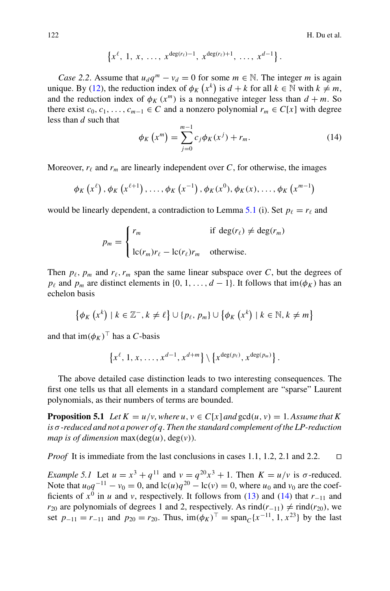$$
\{x^{\ell}, 1, x, \ldots, x^{\deg(r_{\ell})-1}, x^{\deg(r_{\ell})+1}, \ldots, x^{d-1}\}.
$$

*Case 2.2.* Assume that  $u_d q^m - v_d = 0$  for some  $m \in \mathbb{N}$ . The integer *m* is again unique. By [\(12\)](#page-15-1), the reduction index of  $\phi_K(x^k)$  is  $d + k$  for all  $k \in \mathbb{N}$  with  $k \neq m$ , and the reduction index of  $\phi_K(x^m)$  is a nonnegative integer less than  $d + m$ . So there exist  $c_0, c_1, \ldots, c_{m-1} \in C$  and a nonzero polynomial  $r_m \in C[x]$  with degree less than *d* such that

<span id="page-17-0"></span>
$$
\phi_K(x^m) = \sum_{j=0}^{m-1} c_j \phi_K(x^j) + r_m.
$$
 (14)

Moreover,  $r_{\ell}$  and  $r_m$  are linearly independent over *C*, for otherwise, the images

$$
\phi_K(x^{\ell}), \phi_K(x^{\ell+1}), \ldots, \phi_K(x^{-1}), \phi_K(x^0), \phi_K(x), \ldots, \phi_K(x^{m-1})
$$

would be linearly dependent, a contradiction to Lemma [5.1](#page-14-0) (i). Set  $p_\ell = r_\ell$  and

$$
p_m = \begin{cases} r_m & \text{if } \deg(r_\ell) \neq \deg(r_m) \\ \operatorname{lc}(r_m)r_\ell - \operatorname{lc}(r_\ell)r_m & \text{otherwise.} \end{cases}
$$

Then  $p_{\ell}, p_m$  and  $r_{\ell}, r_m$  span the same linear subspace over *C*, but the degrees of *p*<sub>l</sub> and *p<sub>m</sub>* are distinct elements in {0, 1, ..., *d* − 1}. It follows that im( $\phi_K$ ) has an echelon basis

$$
\{\phi_K\left(x^k\right) \mid k \in \mathbb{Z}^-, k \neq \ell\} \cup \{p_\ell, p_m\} \cup \{\phi_K\left(x^k\right) \mid k \in \mathbb{N}, k \neq m\}
$$

and that  $\text{im}(\phi_K)^\top$  has a *C*-basis

<span id="page-17-1"></span>
$$
\left\{x^{\ell}, 1, x, \ldots, x^{d-1}, x^{d+m}\right\} \setminus \left\{x^{\deg(p_{\ell})}, x^{\deg(p_m)}\right\}.
$$

The above detailed case distinction leads to two interesting consequences. The first one tells us that all elements in a standard complement are "sparse" Laurent polynomials, as their numbers of terms are bounded.

**Proposition 5.1** *Let*  $K = u/v$ , where  $u, v \in C[x]$  *and*  $gcd(u, v) = 1$ . Assume that K *is* σ*-reduced and not a power of q. Then the standard complement of the LP-reduction map is of dimension* max $(\text{deg}(u), \text{deg}(v))$ .

*Proof* It is immediate from the last conclusions in cases 1.1, 1.2, 2.1 and 2.2. □

*Example 5.1* Let  $u = x^3 + q^{11}$  and  $v = q^{20}x^3 + 1$ . Then  $K = u/v$  is  $\sigma$ -reduced. Note that  $u_0q^{-11} - v_0 = 0$ , and  $lc(u)q^{20} - lc(v) = 0$ , where  $u_0$  and  $v_0$  are the coefficients of  $x^0$  in *u* and *v*, respectively. It follows from [\(13\)](#page-16-0) and [\(14\)](#page-17-0) that  $r_{-11}$  and *r*<sub>20</sub> are polynomials of degrees 1 and 2, respectively. As rind( $r$ −<sub>11</sub>)  $\neq$  rind( $r$ <sub>20</sub>), we set  $p_{-11} = r_{-11}$  and  $p_{20} = r_{20}$ . Thus,  $\text{im}(\phi_K)^\top = \text{span}_C\{x^{-11}, 1, x^{23}\}$  by the last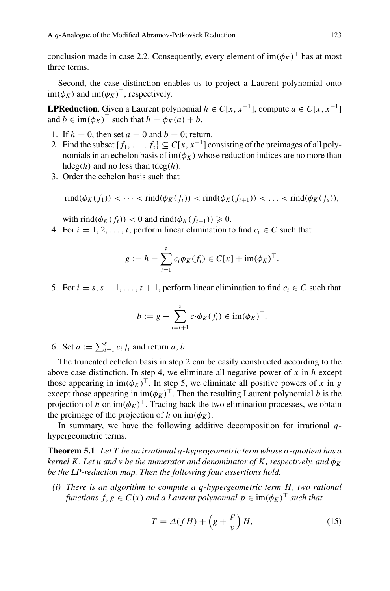conclusion made in case 2.2. Consequently, every element of  $\text{im}(\phi_K)^\top$  has at most three terms.

Second, the case distinction enables us to project a Laurent polynomial onto  $\text{im}(\phi_K)$  and  $\text{im}(\phi_K)^\top$ , respectively.

**LPReduction**. Given a Laurent polynomial  $h \in C[x, x^{-1}]$ , compute  $a \in C[x, x^{-1}]$ and  $b \in \text{im}(\phi_K)^\top$  such that  $h = \phi_K(a) + b$ .

- 1. If  $h = 0$ , then set  $a = 0$  and  $b = 0$ ; return.
- 2. Find the subset  $\{f_1, \ldots, f_s\} \subseteq C[x, x^{-1}]$  consisting of the preimages of all polynomials in an echelon basis of  $im(\phi_K)$  whose reduction indices are no more than hdeg(*h*) and no less than tdeg(*h*).
- 3. Order the echelon basis such that

$$
rind(\phi_K(f_1)) < \cdots < rind(\phi_K(f_t)) < rind(\phi_K(f_{t+1})) < \cdots < rind(\phi_K(f_s)),
$$

with rind( $\phi_K(f_t)$ ) < 0 and rind( $\phi_K(f_{t+1})$ )  $\geq 0$ .

4. For  $i = 1, 2, \ldots, t$ , perform linear elimination to find  $c_i \in C$  such that

$$
g := h - \sum_{i=1}^{t} c_i \phi_K(f_i) \in C[x] + \text{im}(\phi_K)^{\top}.
$$

5. For  $i = s, s - 1, \ldots, t + 1$ , perform linear elimination to find  $c_i \in C$  such that

$$
b := g - \sum_{i=t+1}^{s} c_i \phi_K(f_i) \in \operatorname{im}(\phi_K)^\top.
$$

6. Set  $a := \sum_{i=1}^{s} c_i f_i$  and return  $a, b$ .

The truncated echelon basis in step 2 can be easily constructed according to the above case distinction. In step 4, we eliminate all negative power of *x* in *h* except those appearing in  $\text{im}(\phi_K)^\top$ . In step 5, we eliminate all positive powers of *x* in *g* except those appearing in  $\text{im}(\phi_K)^\top$ . Then the resulting Laurent polynomial *b* is the projection of *h* on  $\text{im}(\phi_K)^\top$ . Tracing back the two elimination processes, we obtain the preimage of the projection of *h* on  $im(\phi_K)$ .

<span id="page-18-1"></span>In summary, we have the following additive decomposition for irrational *q*hypergeometric terms.

**Theorem 5.1** *Let T be an irrational q-hypergeometric term whose* σ*-quotient has a kernel K. Let u and v be the numerator and denominator of K, respectively, and*  $\phi_K$ *be the LP-reduction map. Then the following four assertions hold.*

*(i) There is an algorithm to compute a q-hypergeometric term H, two rational functions*  $f, g \in C(x)$  *and a Laurent polynomial*  $p \in im(\phi_K)^T$  *such that* 

<span id="page-18-0"></span>
$$
T = \Delta(fH) + \left(g + \frac{p}{v}\right)H,\tag{15}
$$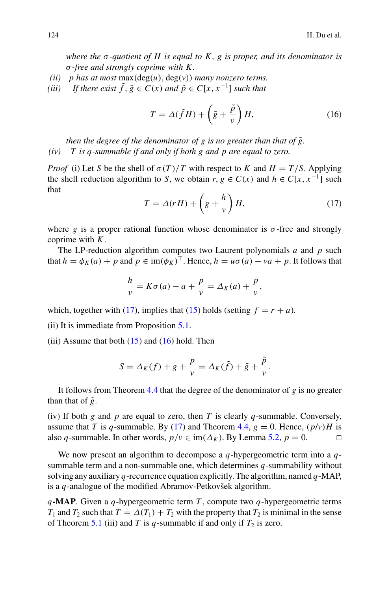*where the*  $\sigma$ -quotient of  $H$  is equal to  $K$ ,  $g$  is proper, and its denominator is σ*-free and strongly coprime with K .*

- *(ii) p has at most* max(deg(*u*), deg(*v*)) *many nonzero terms.*
- *(iii)* If there exist  $\tilde{f}$ ,  $\tilde{g} \in C(x)$  and  $\tilde{p} \in C[x, x^{-1}]$  such that

<span id="page-19-1"></span>
$$
T = \Delta(\tilde{f}H) + \left(\tilde{g} + \frac{\tilde{p}}{v}\right)H,\tag{16}
$$

*then the degree of the denominator of g is no greater than that of*  $\tilde{g}$ *. (iv) T is q-summable if and only if both g and p are equal to zero.*

*Proof* (i) Let *S* be the shell of  $\sigma(T)/T$  with respect to *K* and  $H = T/S$ . Applying the shell reduction algorithm to *S*, we obtain  $r, g \in C(x)$  and  $h \in C[x, x^{-1}]$  such that

<span id="page-19-0"></span>
$$
T = \Delta(rH) + \left(g + \frac{h}{v}\right)H,\tag{17}
$$

where *g* is a proper rational function whose denominator is  $\sigma$ -free and strongly coprime with *K*.

The LP-reduction algorithm computes two Laurent polynomials *a* and *p* such that  $h = \phi_K(a) + p$  and  $p \in \text{im}(\phi_K)^\top$ . Hence,  $h = u\sigma(a) - v a + p$ . It follows that

$$
\frac{h}{v} = K\sigma(a) - a + \frac{p}{v} = \Delta_K(a) + \frac{p}{v},
$$

which, together with [\(17\)](#page-19-0), implies that [\(15\)](#page-18-0) holds (setting  $f = r + a$ ).

(ii) It is immediate from Proposition [5.1.](#page-17-1)

(iii) Assume that both  $(15)$  and  $(16)$  hold. Then

$$
S = \Delta_K(f) + g + \frac{p}{v} = \Delta_K(\tilde{f}) + \tilde{g} + \frac{\tilde{p}}{v}.
$$

It follows from Theorem [4.4](#page-9-2) that the degree of the denominator of *g* is no greater than that of  $\tilde{g}$ .

(iv) If both *g* and *p* are equal to zero, then *T* is clearly *q*-summable. Conversely, assume that *T* is *q*-summable. By [\(17\)](#page-19-0) and Theorem [4.4,](#page-9-2)  $g = 0$ . Hence,  $(p/v)H$  is also *q*-summable. In other words,  $p/v \in im(A_v)$ . By Lemma 5.2,  $p = 0$ also *q*-summable. In other words,  $p/v \in im(\Delta_K)$ . By Lemma [5.2,](#page-15-2)  $p = 0$ .

We now present an algorithm to decompose a *q*-hypergeometric term into a *q*summable term and a non-summable one, which determines *q*-summability without solving any auxiliary *q*-recurrence equation explicitly. The algorithm, named *q*-MAP, is a *q*-analogue of the modified Abramov-Petkovšek algorithm.

*q***-MAP**. Given a *q*-hypergeometric term *T* , compute two *q*-hypergeometric terms *T*<sub>1</sub> and *T*<sub>2</sub> such that  $T = \Delta(T_1) + T_2$  with the property that *T*<sub>2</sub> is minimal in the sense of Theorem [5.1](#page-18-1) (iii) and *T* is *q*-summable if and only if  $T_2$  is zero.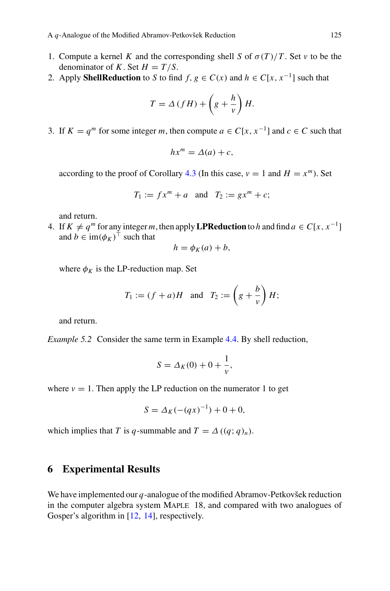- 1. Compute a kernel *K* and the corresponding shell *S* of  $\sigma(T)/T$ . Set *v* to be the denominator of *K*. Set  $H = T/S$ .
- 2. Apply **ShellReduction** to *S* to find *f*,  $g \in C(x)$  and  $h \in C[x, x^{-1}]$  such that

$$
T = \Delta \left( fH \right) + \left( g + \frac{h}{v} \right) H.
$$

3. If  $K = a^m$  for some integer *m*, then compute  $a \in C[x, x^{-1}]$  and  $c \in C$  such that

$$
hx^m = \Delta(a) + c,
$$

according to the proof of Corollary [4.3](#page-11-3) (In this case,  $v = 1$  and  $H = x^m$ ). Set

$$
T_1 := fx^m + a \quad \text{and} \quad T_2 := gx^m + c;
$$

and return.

4. If  $K \neq q^m$  for any integer *m*, then apply **LPReduction** to *h* and find  $a \in C[x, x^{-1}]$ and  $b \in \text{im}(\phi_K)^\top$  such that

$$
h = \phi_K(a) + b,
$$

where  $\phi_K$  is the LP-reduction map. Set

$$
T_1 := (f+a)H
$$
 and  $T_2 := \left(g + \frac{b}{v}\right)H;$ 

and return.

*Example 5.2* Consider the same term in Example [4.4.](#page-13-0) By shell reduction,

$$
S = \Delta_K(0) + 0 + \frac{1}{v},
$$

where  $v = 1$ . Then apply the LP reduction on the numerator 1 to get

$$
S = \Delta_K(-(qx)^{-1}) + 0 + 0,
$$

which implies that *T* is *q*-summable and  $T = \Delta((q; q)_n)$ .

## <span id="page-20-0"></span>**6 Experimental Results**

We have implemented our *q*-analogue of the modified Abramov-Petkovšek reduction in the computer algebra system MAPLE 18, and compared with two analogues of Gosper's algorithm in [\[12](#page-24-0), [14\]](#page-24-1), respectively.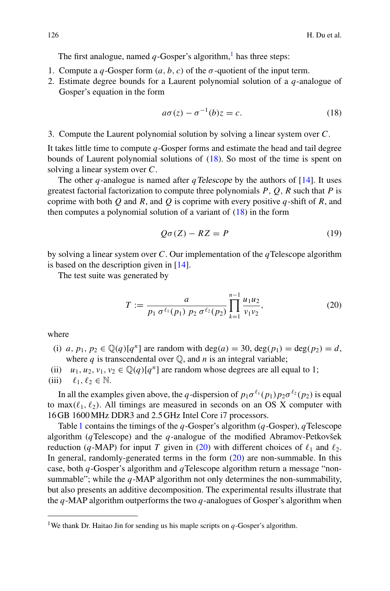The first analogue, named  $q$ -Gosper's algorithm,<sup>[1](#page-21-0)</sup> has three steps:

- 1. Compute a *q*-Gosper form  $(a, b, c)$  of the  $\sigma$ -quotient of the input term.
- 2. Estimate degree bounds for a Laurent polynomial solution of a *q*-analogue of Gosper's equation in the form

<span id="page-21-1"></span>
$$
a\sigma(z) - \sigma^{-1}(b)z = c.
$$
 (18)

3. Compute the Laurent polynomial solution by solving a linear system over *C*.

It takes little time to compute *q*-Gosper forms and estimate the head and tail degree bounds of Laurent polynomial solutions of [\(18\)](#page-21-1). So most of the time is spent on solving a linear system over *C*.

The other *q*-analogue is named after *qTelescope* by the authors of  $[14]$  $[14]$ . It uses greatest factorial factorization to compute three polynomials *P*, *Q*, *R* such that *P* is coprime with both *Q* and *R*, and *Q* is coprime with every positive *q*-shift of *R*, and then computes a polynomial solution of a variant of [\(18\)](#page-21-1) in the form

<span id="page-21-3"></span>
$$
Q\sigma(Z) - RZ = P \tag{19}
$$

by solving a linear system over *C*. Our implementation of the *q*Telescope algorithm is based on the description given in [\[14\]](#page-24-1).

The test suite was generated by

<span id="page-21-2"></span>
$$
T := \frac{a}{p_1 \sigma^{\ell_1}(p_1) \ p_2 \sigma^{\ell_2}(p_2)} \prod_{k=1}^{n-1} \frac{u_1 u_2}{v_1 v_2},
$$
\n(20)

where

- (i) *a*,  $p_1, p_2 \in \mathbb{Q}(q)[q^n]$  are random with deg(*a*) = 30, deg( $p_1$ ) = deg( $p_2$ ) = *d*, where  $q$  is transcendental over  $\mathbb{O}$ , and  $n$  is an integral variable;
- (ii)  $u_1, u_2, v_1, v_2 \in \mathbb{Q}(q)[q^n]$  are random whose degrees are all equal to 1;
- (iii)  $\ell_1, \ell_2 \in \mathbb{N}$ .

In all the examples given above, the *q*-dispersion of  $p_1 \sigma^{\ell_1}(p_1) p_2 \sigma^{\ell_2}(p_2)$  is equal to max $(\ell_1, \ell_2)$ . All timings are measured in seconds on an OS X computer with 16 GB 1600MHz DDR3 and 2.5 GHz Intel Core i7 processors.

Table [1](#page-22-0) contains the timings of the *q*-Gosper's algorithm (*q*-Gosper), *q*Telescope algorithm (*q*Telescope) and the *q*-analogue of the modified Abramov-Petkovšek reduction (*q*-MAP) for input *T* given in [\(20\)](#page-21-2) with different choices of  $\ell_1$  and  $\ell_2$ . In general, randomly-generated terms in the form  $(20)$  are non-summable. In this case, both *q*-Gosper's algorithm and *q*Telescope algorithm return a message "nonsummable"; while the *q*-MAP algorithm not only determines the non-summability, but also presents an additive decomposition. The experimental results illustrate that the *q*-MAP algorithm outperforms the two *q*-analogues of Gosper's algorithm when

<span id="page-21-0"></span><sup>&</sup>lt;sup>1</sup>We thank Dr. Haitao Jin for sending us his maple scripts on  $q$ -Gosper's algorithm.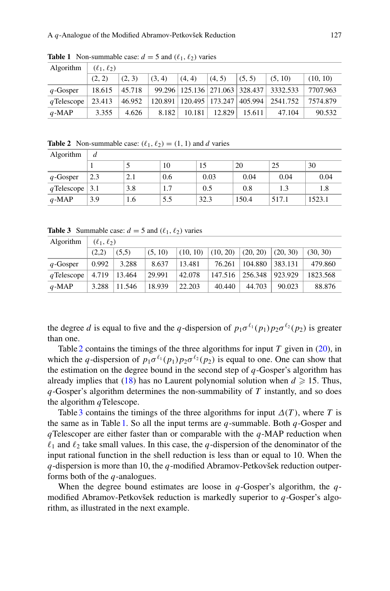<span id="page-22-0"></span>

| Algorithm   | $(\ell_1, \ell_2)$ |        |        |        |                             |                                      |          |          |
|-------------|--------------------|--------|--------|--------|-----------------------------|--------------------------------------|----------|----------|
|             | (2, 2)             | (2, 3) | (3, 4) | (4, 4) | (4, 5)                      | (5, 5)                               | (5, 10)  | (10, 10) |
| $q$ -Gosper | 18.615             | 45.718 |        |        |                             | 99.296   125.136   271.063   328.437 | 3332.533 | 7707.963 |
| qTelescope  | 23.413             | 46.952 |        |        | 120.891   120.495   173.247 | 405.994                              | 2541.752 | 7574.879 |
| $q$ -MAP    | 3.355              | 4.626  | 8.182  | 10.181 | 12.829                      | 15.611                               | 47.104   | 90.532   |

**Table 1** Non-summable case:  $d = 5$  and  $(\ell_1, \ell_2)$  varies

<span id="page-22-1"></span>**Table 2** Non-summable case:  $(\ell_1, \ell_2) = (1, 1)$  and *d* varies

| Algorithm         | d   |     |     |      |       |       |        |  |  |
|-------------------|-----|-----|-----|------|-------|-------|--------|--|--|
|                   |     |     | 10  |      | 20    | 25    | 30     |  |  |
| $q$ -Gosper       | 2.3 | 2.1 | 0.6 | 0.03 | 0.04  | 0.04  | 0.04   |  |  |
| qTelescope $ 3.1$ |     | 3.8 | 1.7 | 0.5  | 0.8   | 1.3   | 1.8    |  |  |
| $q$ -MAP          | 3.9 | 1.6 | 5.5 | 32.3 | 150.4 | 517.1 | 1523.1 |  |  |

**Table 3** Summable case:  $d = 5$  and  $(\ell_1, \ell_2)$  varies

<span id="page-22-2"></span>

| Algorithm   | $(\ell_1, \ell_2)$ |        |         |          |          |          |          |          |
|-------------|--------------------|--------|---------|----------|----------|----------|----------|----------|
|             | (2,2)              | (5,5)  | (5, 10) | (10, 10) | (10, 20) | (20, 20) | (20, 30) | (30, 30) |
| $q$ -Gosper | 0.992              | 3.288  | 8.637   | 13.481   | 76.261   | 104.880  | 383.131  | 479.860  |
| qTelescope  | 4.719              | 13.464 | 29.991  | 42.078   | 147.516  | 256.348  | 923.929  | 1823.568 |
| $q$ -MAP    | 3.288              | 11.546 | 18.939  | 22.203   | 40.440   | 44.703   | 90.023   | 88.876   |

the degree *d* is equal to five and the *q*-dispersion of  $p_1 \sigma^{\ell_1}(p_1) p_2 \sigma^{\ell_2}(p_2)$  is greater than one.

Table [2](#page-22-1) contains the timings of the three algorithms for input *T* given in [\(20\)](#page-21-2), in which the *q*-dispersion of  $p_1 \sigma^{\ell_1}(p_1) p_2 \sigma^{\ell_2}(p_2)$  is equal to one. One can show that the estimation on the degree bound in the second step of *q*-Gosper's algorithm has already implies that [\(18\)](#page-21-1) has no Laurent polynomial solution when  $d \ge 15$ . Thus, *q*-Gosper's algorithm determines the non-summability of *T* instantly, and so does the algorithm *q*Telescope.

Table [3](#page-22-2) contains the timings of the three algorithms for input  $\Delta(T)$ , where *T* is the same as in Table [1.](#page-22-0) So all the input terms are *q*-summable. Both *q*-Gosper and *q*Telescoper are either faster than or comparable with the *q*-MAP reduction when  $\ell_1$  and  $\ell_2$  take small values. In this case, the *q*-dispersion of the denominator of the input rational function in the shell reduction is less than or equal to 10. When the *q*-dispersion is more than 10, the *q*-modified Abramov-Petkovšek reduction outperforms both of the *q*-analogues.

When the degree bound estimates are loose in *q*-Gosper's algorithm, the *q*modified Abramov-Petkovšek reduction is markedly superior to *q*-Gosper's algorithm, as illustrated in the next example.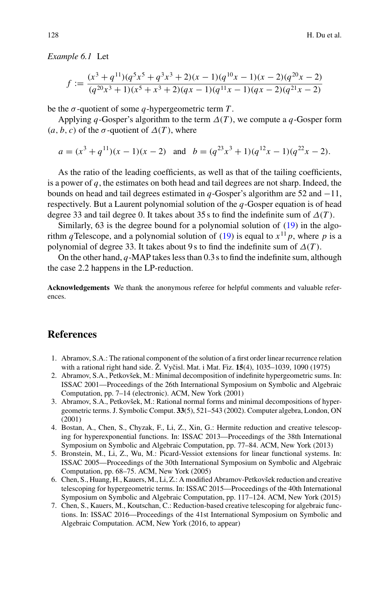*Example 6.1* Let

$$
f := \frac{(x^3 + q^{11})(q^5x^5 + q^3x^3 + 2)(x - 1)(q^{10}x - 1)(x - 2)(q^{20}x - 2)}{(q^{20}x^3 + 1)(x^5 + x^3 + 2)(qx - 1)(q^{11}x - 1)(qx - 2)(q^{21}x - 2)}
$$

be the  $\sigma$ -quotient of some  $q$ -hypergeometric term  $T$ .

Applying *q*-Gosper's algorithm to the term  $\Delta(T)$ , we compute a *q*-Gosper form  $(a, b, c)$  of the  $\sigma$ -quotient of  $\Delta(T)$ , where

$$
a = (x3 + q11)(x - 1)(x - 2)
$$
 and  $b = (q23x3 + 1)(q12x - 1)(q22x - 2)$ .

As the ratio of the leading coefficients, as well as that of the tailing coefficients, is a power of *q*, the estimates on both head and tail degrees are not sharp. Indeed, the bounds on head and tail degrees estimated in *q*-Gosper's algorithm are 52 and  $-11$ , respectively. But a Laurent polynomial solution of the *q*-Gosper equation is of head degree 33 and tail degree 0. It takes about 35 s to find the indefinite sum of  $\Delta(T)$ .

Similarly, 63 is the degree bound for a polynomial solution of  $(19)$  in the algorithm *q*Telescope, and a polynomial solution of [\(19\)](#page-21-3) is equal to  $x^{11}p$ , where *p* is a polynomial of degree 33. It takes about 9s to find the indefinite sum of  $\Delta(T)$ .

On the other hand, *q*-MAP takes less than 0.3 s to find the indefinite sum, although the case 2.2 happens in the LP-reduction.

**Acknowledgements** We thank the anonymous referee for helpful comments and valuable references.

### **References**

- <span id="page-23-0"></span>1. Abramov, S.A.: The rational component of the solution of a first order linear recurrence relation with a rational right hand side. Ž. Vyčisl. Mat. i Mat. Fiz. **15**(4), 1035–1039, 1090 (1975)
- <span id="page-23-1"></span>2. Abramov, S.A., Petkovšek, M.: Minimal decomposition of indefinite hypergeometric sums. In: ISSAC 2001—Proceedings of the 26th International Symposium on Symbolic and Algebraic Computation, pp. 7–14 (electronic). ACM, New York (2001)
- <span id="page-23-2"></span>3. Abramov, S.A., Petkovšek, M.: Rational normal forms and minimal decompositions of hypergeometric terms. J. Symbolic Comput. **33**(5), 521–543 (2002). Computer algebra, London, ON (2001)
- <span id="page-23-4"></span>4. Bostan, A., Chen, S., Chyzak, F., Li, Z., Xin, G.: Hermite reduction and creative telescoping for hyperexponential functions. In: ISSAC 2013—Proceedings of the 38th International Symposium on Symbolic and Algebraic Computation, pp. 77–84. ACM, New York (2013)
- <span id="page-23-5"></span>5. Bronstein, M., Li, Z., Wu, M.: Picard-Vessiot extensions for linear functional systems. In: ISSAC 2005—Proceedings of the 30th International Symposium on Symbolic and Algebraic Computation, pp. 68–75. ACM, New York (2005)
- <span id="page-23-3"></span>6. Chen, S., Huang, H., Kauers, M., Li, Z.: A modified Abramov-Petkovšek reduction and creative telescoping for hypergeometric terms. In: ISSAC 2015—Proceedings of the 40th International Symposium on Symbolic and Algebraic Computation, pp. 117–124. ACM, New York (2015)
- 7. Chen, S., Kauers, M., Koutschan, C.: Reduction-based creative telescoping for algebraic functions. In: ISSAC 2016—Proceedings of the 41st International Symposium on Symbolic and Algebraic Computation. ACM, New York (2016, to appear)